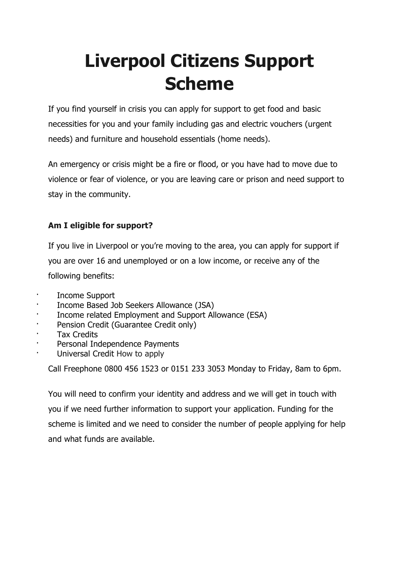# **Liverpool Citizens Support Scheme**

If you find yourself in crisis you can apply for support to get food and basic necessities for you and your family including gas and electric vouchers (urgent needs) and furniture and household essentials (home needs).

An emergency or crisis might be a fire or flood, or you have had to move due to violence or fear of violence, or you are leaving care or prison and need support to stay in the community.

## **Am I eligible for support?**

If you live in Liverpool or you're moving to the area, you can apply for support if you are over 16 and unemployed or on a low income, or receive any of the following benefits:

- Income Support
- · Income Based Job Seekers Allowance (JSA)
- Income related Employment and Support Allowance (ESA)
- Pension Credit (Guarantee Credit only)
- **Tax Credits**
- Personal Independence Payments
- · Universal Credit How to apply

Call Freephone 0800 456 1523 or 0151 233 3053 Monday to Friday, 8am to 6pm.

You will need to confirm your identity and address and we will get in touch with you if we need further information to support your application. Funding for the scheme is limited and we need to consider the number of people applying for help and what funds are available.